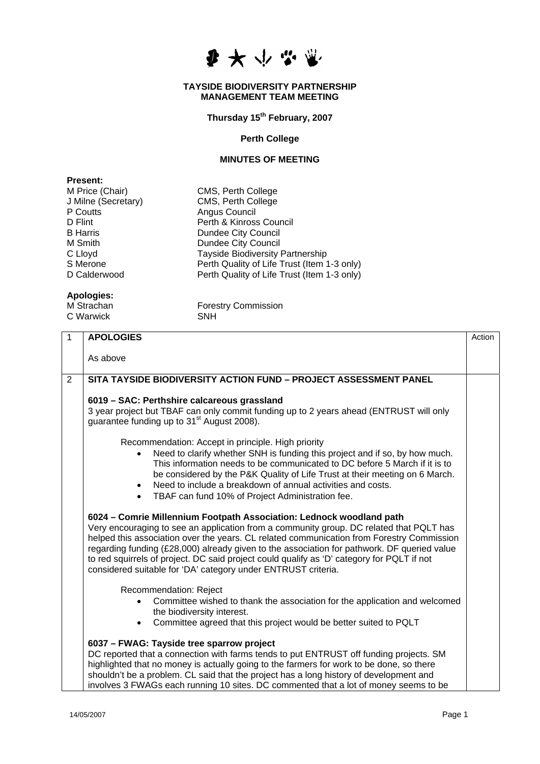

## **TAYSIDE BIODIVERSITY PARTNERSHIP MANAGEMENT TEAM MEETING**

**Thursday 15th February, 2007** 

## **Perth College**

## **MINUTES OF MEETING**

| <b>Present:</b>     |                                             |
|---------------------|---------------------------------------------|
| M Price (Chair)     | CMS, Perth College                          |
| J Milne (Secretary) | CMS, Perth College                          |
| P Coutts            | Angus Council                               |
| D Flint             | Perth & Kinross Council                     |
| <b>B</b> Harris     | <b>Dundee City Council</b>                  |
| M Smith             | <b>Dundee City Council</b>                  |
| C Lloyd             | <b>Tayside Biodiversity Partnership</b>     |
| S Merone            | Perth Quality of Life Trust (Item 1-3 only) |
| D Calderwood        | Perth Quality of Life Trust (Item 1-3 only) |
|                     |                                             |
|                     |                                             |

## **Apologies:**

C Warwick **SNH** 

Forestry Commission<br>SNH

| $\overline{1}$ | <b>APOLOGIES</b>                                                                                                                                                                                                                                                                                                                                                                                                                                                                                                           | Action |
|----------------|----------------------------------------------------------------------------------------------------------------------------------------------------------------------------------------------------------------------------------------------------------------------------------------------------------------------------------------------------------------------------------------------------------------------------------------------------------------------------------------------------------------------------|--------|
|                | As above                                                                                                                                                                                                                                                                                                                                                                                                                                                                                                                   |        |
| $\overline{2}$ | SITA TAYSIDE BIODIVERSITY ACTION FUND - PROJECT ASSESSMENT PANEL                                                                                                                                                                                                                                                                                                                                                                                                                                                           |        |
|                | 6019 - SAC: Perthshire calcareous grassland<br>3 year project but TBAF can only commit funding up to 2 years ahead (ENTRUST will only<br>guarantee funding up to 31 <sup>st</sup> August 2008).                                                                                                                                                                                                                                                                                                                            |        |
|                | Recommendation: Accept in principle. High priority<br>Need to clarify whether SNH is funding this project and if so, by how much.<br>This information needs to be communicated to DC before 5 March if it is to<br>be considered by the P&K Quality of Life Trust at their meeting on 6 March.<br>Need to include a breakdown of annual activities and costs.<br>$\bullet$<br>TBAF can fund 10% of Project Administration fee.<br>$\bullet$                                                                                |        |
|                | 6024 - Comrie Millennium Footpath Association: Lednock woodland path<br>Very encouraging to see an application from a community group. DC related that PQLT has<br>helped this association over the years. CL related communication from Forestry Commission<br>regarding funding (£28,000) already given to the association for pathwork. DF queried value<br>to red squirrels of project. DC said project could qualify as 'D' category for PQLT if not<br>considered suitable for 'DA' category under ENTRUST criteria. |        |
|                | Recommendation: Reject<br>Committee wished to thank the association for the application and welcomed<br>the biodiversity interest.<br>Committee agreed that this project would be better suited to PQLT<br>$\bullet$                                                                                                                                                                                                                                                                                                       |        |
|                | 6037 - FWAG: Tayside tree sparrow project<br>DC reported that a connection with farms tends to put ENTRUST off funding projects. SM<br>highlighted that no money is actually going to the farmers for work to be done, so there<br>shouldn't be a problem. CL said that the project has a long history of development and<br>involves 3 FWAGs each running 10 sites. DC commented that a lot of money seems to be                                                                                                          |        |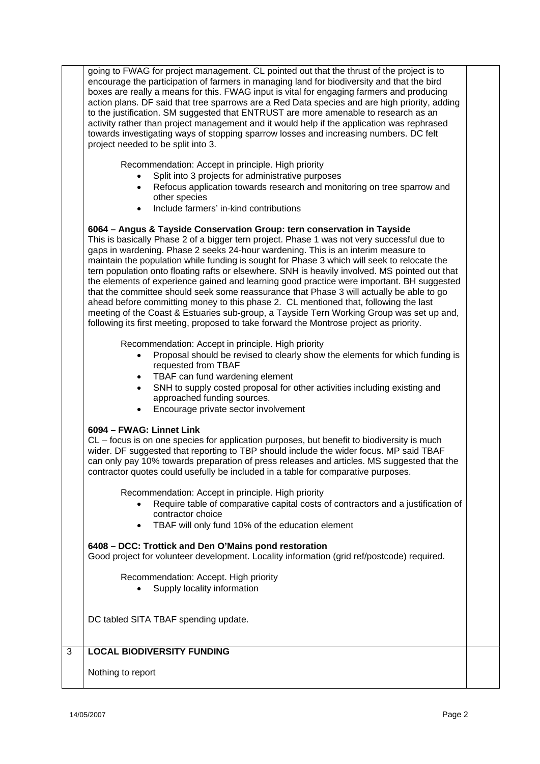|   | going to FWAG for project management. CL pointed out that the thrust of the project is to<br>encourage the participation of farmers in managing land for biodiversity and that the bird<br>boxes are really a means for this. FWAG input is vital for engaging farmers and producing<br>action plans. DF said that tree sparrows are a Red Data species and are high priority, adding<br>to the justification. SM suggested that ENTRUST are more amenable to research as an<br>activity rather than project management and it would help if the application was rephrased<br>towards investigating ways of stopping sparrow losses and increasing numbers. DC felt<br>project needed to be split into 3.                                                                                                                                                                                                                           |  |
|---|-------------------------------------------------------------------------------------------------------------------------------------------------------------------------------------------------------------------------------------------------------------------------------------------------------------------------------------------------------------------------------------------------------------------------------------------------------------------------------------------------------------------------------------------------------------------------------------------------------------------------------------------------------------------------------------------------------------------------------------------------------------------------------------------------------------------------------------------------------------------------------------------------------------------------------------|--|
|   | Recommendation: Accept in principle. High priority<br>Split into 3 projects for administrative purposes<br>Refocus application towards research and monitoring on tree sparrow and<br>other species<br>Include farmers' in-kind contributions                                                                                                                                                                                                                                                                                                                                                                                                                                                                                                                                                                                                                                                                                       |  |
|   | 6064 - Angus & Tayside Conservation Group: tern conservation in Tayside<br>This is basically Phase 2 of a bigger tern project. Phase 1 was not very successful due to<br>gaps in wardening. Phase 2 seeks 24-hour wardening. This is an interim measure to<br>maintain the population while funding is sought for Phase 3 which will seek to relocate the<br>tern population onto floating rafts or elsewhere. SNH is heavily involved. MS pointed out that<br>the elements of experience gained and learning good practice were important. BH suggested<br>that the committee should seek some reassurance that Phase 3 will actually be able to go<br>ahead before committing money to this phase 2. CL mentioned that, following the last<br>meeting of the Coast & Estuaries sub-group, a Tayside Tern Working Group was set up and,<br>following its first meeting, proposed to take forward the Montrose project as priority. |  |
|   | Recommendation: Accept in principle. High priority<br>Proposal should be revised to clearly show the elements for which funding is<br>requested from TBAF<br>TBAF can fund wardening element<br>SNH to supply costed proposal for other activities including existing and<br>$\bullet$<br>approached funding sources.<br>Encourage private sector involvement                                                                                                                                                                                                                                                                                                                                                                                                                                                                                                                                                                       |  |
|   | 6094 - FWAG: Linnet Link<br>CL – focus is on one species for application purposes, but benefit to biodiversity is much<br>wider. DF suggested that reporting to TBP should include the wider focus. MP said TBAF<br>can only pay 10% towards preparation of press releases and articles. MS suggested that the<br>contractor quotes could usefully be included in a table for comparative purposes.                                                                                                                                                                                                                                                                                                                                                                                                                                                                                                                                 |  |
|   | Recommendation: Accept in principle. High priority<br>Require table of comparative capital costs of contractors and a justification of<br>contractor choice<br>TBAF will only fund 10% of the education element<br>$\bullet$                                                                                                                                                                                                                                                                                                                                                                                                                                                                                                                                                                                                                                                                                                        |  |
|   | 6408 - DCC: Trottick and Den O'Mains pond restoration<br>Good project for volunteer development. Locality information (grid ref/postcode) required.                                                                                                                                                                                                                                                                                                                                                                                                                                                                                                                                                                                                                                                                                                                                                                                 |  |
|   | Recommendation: Accept. High priority<br>Supply locality information                                                                                                                                                                                                                                                                                                                                                                                                                                                                                                                                                                                                                                                                                                                                                                                                                                                                |  |
|   | DC tabled SITA TBAF spending update.                                                                                                                                                                                                                                                                                                                                                                                                                                                                                                                                                                                                                                                                                                                                                                                                                                                                                                |  |
| 3 | <b>LOCAL BIODIVERSITY FUNDING</b>                                                                                                                                                                                                                                                                                                                                                                                                                                                                                                                                                                                                                                                                                                                                                                                                                                                                                                   |  |
|   | Nothing to report                                                                                                                                                                                                                                                                                                                                                                                                                                                                                                                                                                                                                                                                                                                                                                                                                                                                                                                   |  |
|   |                                                                                                                                                                                                                                                                                                                                                                                                                                                                                                                                                                                                                                                                                                                                                                                                                                                                                                                                     |  |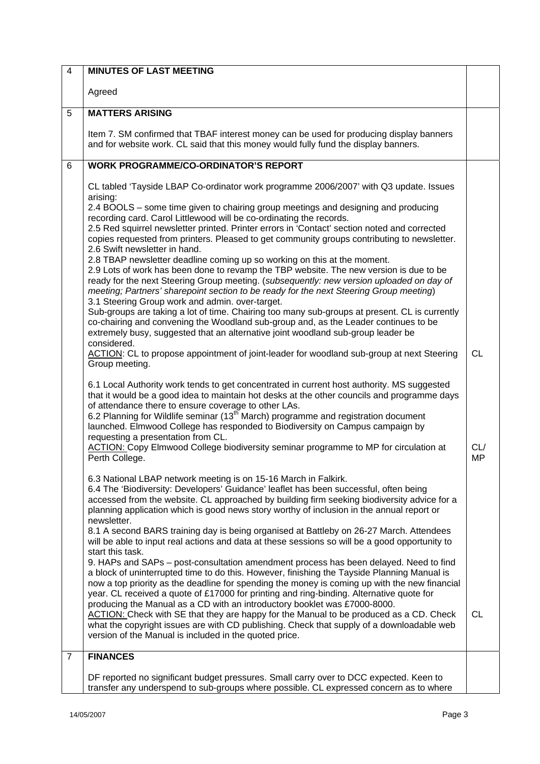| $\overline{4}$ | <b>MINUTES OF LAST MEETING</b>                                                                                                                                                                                                                                                                                                                                                                              |                  |
|----------------|-------------------------------------------------------------------------------------------------------------------------------------------------------------------------------------------------------------------------------------------------------------------------------------------------------------------------------------------------------------------------------------------------------------|------------------|
|                | Agreed                                                                                                                                                                                                                                                                                                                                                                                                      |                  |
| 5              | <b>MATTERS ARISING</b>                                                                                                                                                                                                                                                                                                                                                                                      |                  |
|                | Item 7. SM confirmed that TBAF interest money can be used for producing display banners<br>and for website work. CL said that this money would fully fund the display banners.                                                                                                                                                                                                                              |                  |
| 6              | <b>WORK PROGRAMME/CO-ORDINATOR'S REPORT</b>                                                                                                                                                                                                                                                                                                                                                                 |                  |
|                | CL tabled 'Tayside LBAP Co-ordinator work programme 2006/2007' with Q3 update. Issues<br>arising:<br>2.4 BOOLS - some time given to chairing group meetings and designing and producing<br>recording card. Carol Littlewood will be co-ordinating the records.                                                                                                                                              |                  |
|                | 2.5 Red squirrel newsletter printed. Printer errors in 'Contact' section noted and corrected<br>copies requested from printers. Pleased to get community groups contributing to newsletter.<br>2.6 Swift newsletter in hand.                                                                                                                                                                                |                  |
|                | 2.8 TBAP newsletter deadline coming up so working on this at the moment.<br>2.9 Lots of work has been done to revamp the TBP website. The new version is due to be<br>ready for the next Steering Group meeting. (subsequently: new version uploaded on day of<br>meeting; Partners' sharepoint section to be ready for the next Steering Group meeting)<br>3.1 Steering Group work and admin. over-target. |                  |
|                | Sub-groups are taking a lot of time. Chairing too many sub-groups at present. CL is currently<br>co-chairing and convening the Woodland sub-group and, as the Leader continues to be<br>extremely busy, suggested that an alternative joint woodland sub-group leader be<br>considered.                                                                                                                     |                  |
|                | ACTION: CL to propose appointment of joint-leader for woodland sub-group at next Steering<br>Group meeting.                                                                                                                                                                                                                                                                                                 | <b>CL</b>        |
|                | 6.1 Local Authority work tends to get concentrated in current host authority. MS suggested<br>that it would be a good idea to maintain hot desks at the other councils and programme days<br>of attendance there to ensure coverage to other LAs.                                                                                                                                                           |                  |
|                | 6.2 Planning for Wildlife seminar (13 <sup>th</sup> March) programme and registration document<br>launched. Elmwood College has responded to Biodiversity on Campus campaign by<br>requesting a presentation from CL.                                                                                                                                                                                       |                  |
|                | ACTION: Copy Elmwood College biodiversity seminar programme to MP for circulation at<br>Perth College.                                                                                                                                                                                                                                                                                                      | CL/<br><b>MP</b> |
|                | 6.3 National LBAP network meeting is on 15-16 March in Falkirk.                                                                                                                                                                                                                                                                                                                                             |                  |
|                | 6.4 The 'Biodiversity: Developers' Guidance' leaflet has been successful, often being<br>accessed from the website. CL approached by building firm seeking biodiversity advice for a<br>planning application which is good news story worthy of inclusion in the annual report or<br>newsletter.                                                                                                            |                  |
|                | 8.1 A second BARS training day is being organised at Battleby on 26-27 March. Attendees<br>will be able to input real actions and data at these sessions so will be a good opportunity to<br>start this task.                                                                                                                                                                                               |                  |
|                | 9. HAPs and SAPs - post-consultation amendment process has been delayed. Need to find<br>a block of uninterrupted time to do this. However, finishing the Tayside Planning Manual is<br>now a top priority as the deadline for spending the money is coming up with the new financial<br>year. CL received a quote of £17000 for printing and ring-binding. Alternative quote for                           |                  |
|                | producing the Manual as a CD with an introductory booklet was £7000-8000.<br>ACTION: Check with SE that they are happy for the Manual to be produced as a CD. Check<br>what the copyright issues are with CD publishing. Check that supply of a downloadable web<br>version of the Manual is included in the quoted price.                                                                                  | <b>CL</b>        |
| $\overline{7}$ | <b>FINANCES</b>                                                                                                                                                                                                                                                                                                                                                                                             |                  |
|                | DF reported no significant budget pressures. Small carry over to DCC expected. Keen to                                                                                                                                                                                                                                                                                                                      |                  |
|                | transfer any underspend to sub-groups where possible. CL expressed concern as to where                                                                                                                                                                                                                                                                                                                      |                  |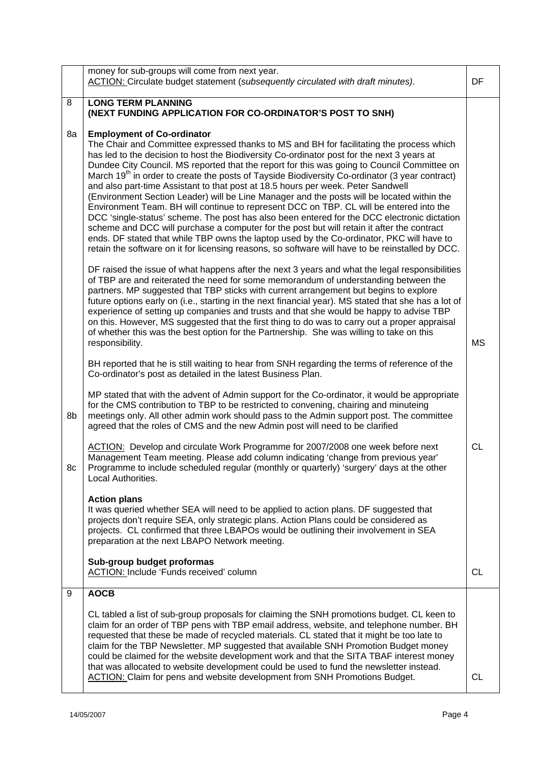|    | money for sub-groups will come from next year.<br>ACTION: Circulate budget statement (subsequently circulated with draft minutes).                                                                                                                                                                                                                                                                                                                                                                                                                                                                                                                                                                                                                                                                                                                                                                                                                                                                                                                                                                                  | DF        |
|----|---------------------------------------------------------------------------------------------------------------------------------------------------------------------------------------------------------------------------------------------------------------------------------------------------------------------------------------------------------------------------------------------------------------------------------------------------------------------------------------------------------------------------------------------------------------------------------------------------------------------------------------------------------------------------------------------------------------------------------------------------------------------------------------------------------------------------------------------------------------------------------------------------------------------------------------------------------------------------------------------------------------------------------------------------------------------------------------------------------------------|-----------|
| 8  | <b>LONG TERM PLANNING</b><br>(NEXT FUNDING APPLICATION FOR CO-ORDINATOR'S POST TO SNH)                                                                                                                                                                                                                                                                                                                                                                                                                                                                                                                                                                                                                                                                                                                                                                                                                                                                                                                                                                                                                              |           |
| 8a | <b>Employment of Co-ordinator</b><br>The Chair and Committee expressed thanks to MS and BH for facilitating the process which<br>has led to the decision to host the Biodiversity Co-ordinator post for the next 3 years at<br>Dundee City Council. MS reported that the report for this was going to Council Committee on<br>March 19 <sup>th</sup> in order to create the posts of Tayside Biodiversity Co-ordinator (3 year contract)<br>and also part-time Assistant to that post at 18.5 hours per week. Peter Sandwell<br>(Environment Section Leader) will be Line Manager and the posts will be located within the<br>Environment Team. BH will continue to represent DCC on TBP. CL will be entered into the<br>DCC 'single-status' scheme. The post has also been entered for the DCC electronic dictation<br>scheme and DCC will purchase a computer for the post but will retain it after the contract<br>ends. DF stated that while TBP owns the laptop used by the Co-ordinator, PKC will have to<br>retain the software on it for licensing reasons, so software will have to be reinstalled by DCC. |           |
|    | DF raised the issue of what happens after the next 3 years and what the legal responsibilities<br>of TBP are and reiterated the need for some memorandum of understanding between the<br>partners. MP suggested that TBP sticks with current arrangement but begins to explore<br>future options early on (i.e., starting in the next financial year). MS stated that she has a lot of<br>experience of setting up companies and trusts and that she would be happy to advise TBP<br>on this. However, MS suggested that the first thing to do was to carry out a proper appraisal<br>of whether this was the best option for the Partnership. She was willing to take on this<br>responsibility.                                                                                                                                                                                                                                                                                                                                                                                                                   | <b>MS</b> |
|    | BH reported that he is still waiting to hear from SNH regarding the terms of reference of the<br>Co-ordinator's post as detailed in the latest Business Plan.                                                                                                                                                                                                                                                                                                                                                                                                                                                                                                                                                                                                                                                                                                                                                                                                                                                                                                                                                       |           |
| 8b | MP stated that with the advent of Admin support for the Co-ordinator, it would be appropriate<br>for the CMS contribution to TBP to be restricted to convening, chairing and minuteing<br>meetings only. All other admin work should pass to the Admin support post. The committee<br>agreed that the roles of CMS and the new Admin post will need to be clarified                                                                                                                                                                                                                                                                                                                                                                                                                                                                                                                                                                                                                                                                                                                                                 |           |
| 8c | ACTION: Develop and circulate Work Programme for 2007/2008 one week before next<br>Management Team meeting. Please add column indicating 'change from previous year'<br>Programme to include scheduled regular (monthly or quarterly) 'surgery' days at the other<br>Local Authorities.                                                                                                                                                                                                                                                                                                                                                                                                                                                                                                                                                                                                                                                                                                                                                                                                                             | <b>CL</b> |
|    | <b>Action plans</b><br>It was queried whether SEA will need to be applied to action plans. DF suggested that<br>projects don't require SEA, only strategic plans. Action Plans could be considered as<br>projects. CL confirmed that three LBAPOs would be outlining their involvement in SEA<br>preparation at the next LBAPO Network meeting.                                                                                                                                                                                                                                                                                                                                                                                                                                                                                                                                                                                                                                                                                                                                                                     |           |
|    | Sub-group budget proformas<br>ACTION: Include 'Funds received' column                                                                                                                                                                                                                                                                                                                                                                                                                                                                                                                                                                                                                                                                                                                                                                                                                                                                                                                                                                                                                                               | CL        |
| 9  | <b>AOCB</b>                                                                                                                                                                                                                                                                                                                                                                                                                                                                                                                                                                                                                                                                                                                                                                                                                                                                                                                                                                                                                                                                                                         |           |
|    | CL tabled a list of sub-group proposals for claiming the SNH promotions budget. CL keen to<br>claim for an order of TBP pens with TBP email address, website, and telephone number. BH<br>requested that these be made of recycled materials. CL stated that it might be too late to<br>claim for the TBP Newsletter. MP suggested that available SNH Promotion Budget money<br>could be claimed for the website development work and that the SITA TBAF interest money<br>that was allocated to website development could be used to fund the newsletter instead.<br><b>ACTION: Claim for pens and website development from SNH Promotions Budget.</b>                                                                                                                                                                                                                                                                                                                                                                                                                                                             | CL        |